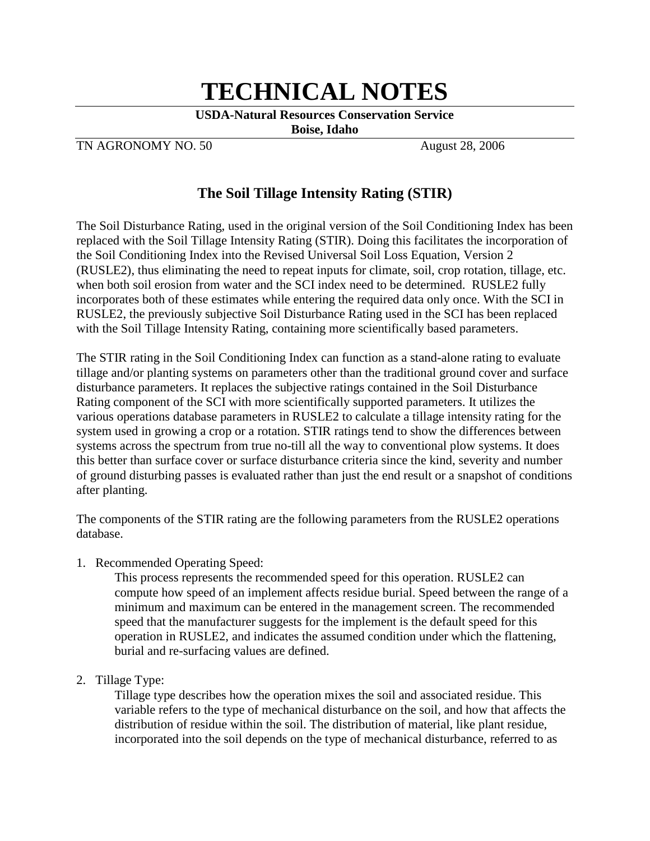# **TECHNICAL NOTES**

**USDA-Natural Resources Conservation Service**

**Boise, Idaho**

TN AGRONOMY NO. 50 August 28, 2006

### **The Soil Tillage Intensity Rating (STIR)**

The Soil Disturbance Rating, used in the original version of the Soil Conditioning Index has been replaced with the Soil Tillage Intensity Rating (STIR). Doing this facilitates the incorporation of the Soil Conditioning Index into the Revised Universal Soil Loss Equation, Version 2 (RUSLE2), thus eliminating the need to repeat inputs for climate, soil, crop rotation, tillage, etc. when both soil erosion from water and the SCI index need to be determined. RUSLE2 fully incorporates both of these estimates while entering the required data only once. With the SCI in RUSLE2, the previously subjective Soil Disturbance Rating used in the SCI has been replaced with the Soil Tillage Intensity Rating, containing more scientifically based parameters.

The STIR rating in the Soil Conditioning Index can function as a stand-alone rating to evaluate tillage and/or planting systems on parameters other than the traditional ground cover and surface disturbance parameters. It replaces the subjective ratings contained in the Soil Disturbance Rating component of the SCI with more scientifically supported parameters. It utilizes the various operations database parameters in RUSLE2 to calculate a tillage intensity rating for the system used in growing a crop or a rotation. STIR ratings tend to show the differences between systems across the spectrum from true no-till all the way to conventional plow systems. It does this better than surface cover or surface disturbance criteria since the kind, severity and number of ground disturbing passes is evaluated rather than just the end result or a snapshot of conditions after planting.

The components of the STIR rating are the following parameters from the RUSLE2 operations database.

1. Recommended Operating Speed:

This process represents the recommended speed for this operation. RUSLE2 can compute how speed of an implement affects residue burial. Speed between the range of a minimum and maximum can be entered in the management screen. The recommended speed that the manufacturer suggests for the implement is the default speed for this operation in RUSLE2, and indicates the assumed condition under which the flattening, burial and re-surfacing values are defined.

2. Tillage Type:

Tillage type describes how the operation mixes the soil and associated residue. This variable refers to the type of mechanical disturbance on the soil, and how that affects the distribution of residue within the soil. The distribution of material, like plant residue, incorporated into the soil depends on the type of mechanical disturbance, referred to as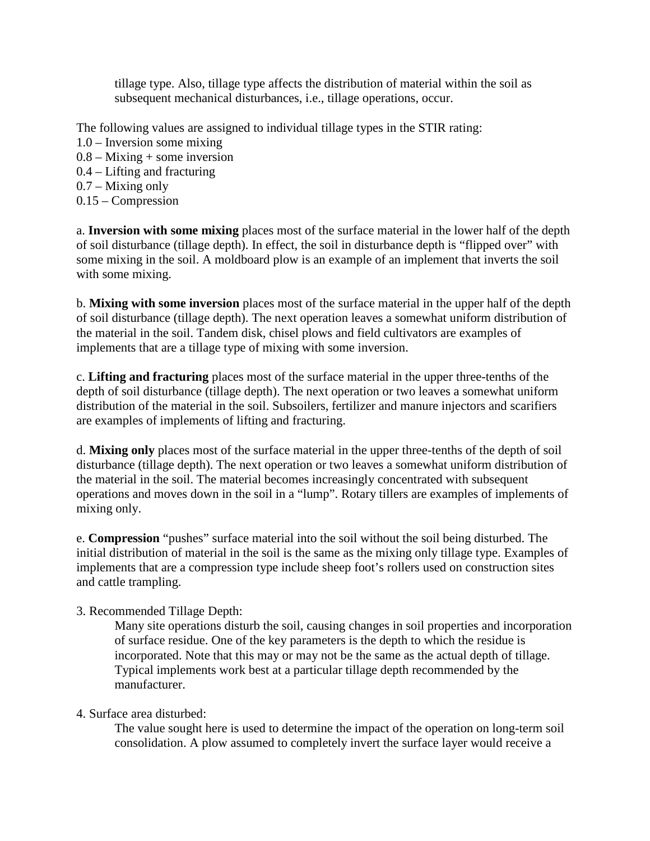tillage type. Also, tillage type affects the distribution of material within the soil as subsequent mechanical disturbances, i.e., tillage operations, occur.

The following values are assigned to individual tillage types in the STIR rating:

- 1.0 Inversion some mixing
- $0.8 -$ Mixing + some inversion
- 0.4 Lifting and fracturing
- 0.7 Mixing only
- 0.15 Compression

a. **Inversion with some mixing** places most of the surface material in the lower half of the depth of soil disturbance (tillage depth). In effect, the soil in disturbance depth is "flipped over" with some mixing in the soil. A moldboard plow is an example of an implement that inverts the soil with some mixing.

b. **Mixing with some inversion** places most of the surface material in the upper half of the depth of soil disturbance (tillage depth). The next operation leaves a somewhat uniform distribution of the material in the soil. Tandem disk, chisel plows and field cultivators are examples of implements that are a tillage type of mixing with some inversion.

c. **Lifting and fracturing** places most of the surface material in the upper three-tenths of the depth of soil disturbance (tillage depth). The next operation or two leaves a somewhat uniform distribution of the material in the soil. Subsoilers, fertilizer and manure injectors and scarifiers are examples of implements of lifting and fracturing.

d. **Mixing only** places most of the surface material in the upper three-tenths of the depth of soil disturbance (tillage depth). The next operation or two leaves a somewhat uniform distribution of the material in the soil. The material becomes increasingly concentrated with subsequent operations and moves down in the soil in a "lump". Rotary tillers are examples of implements of mixing only.

e. **Compression** "pushes" surface material into the soil without the soil being disturbed. The initial distribution of material in the soil is the same as the mixing only tillage type. Examples of implements that are a compression type include sheep foot's rollers used on construction sites and cattle trampling.

#### 3. Recommended Tillage Depth:

Many site operations disturb the soil, causing changes in soil properties and incorporation of surface residue. One of the key parameters is the depth to which the residue is incorporated. Note that this may or may not be the same as the actual depth of tillage. Typical implements work best at a particular tillage depth recommended by the manufacturer.

#### 4. Surface area disturbed:

The value sought here is used to determine the impact of the operation on long-term soil consolidation. A plow assumed to completely invert the surface layer would receive a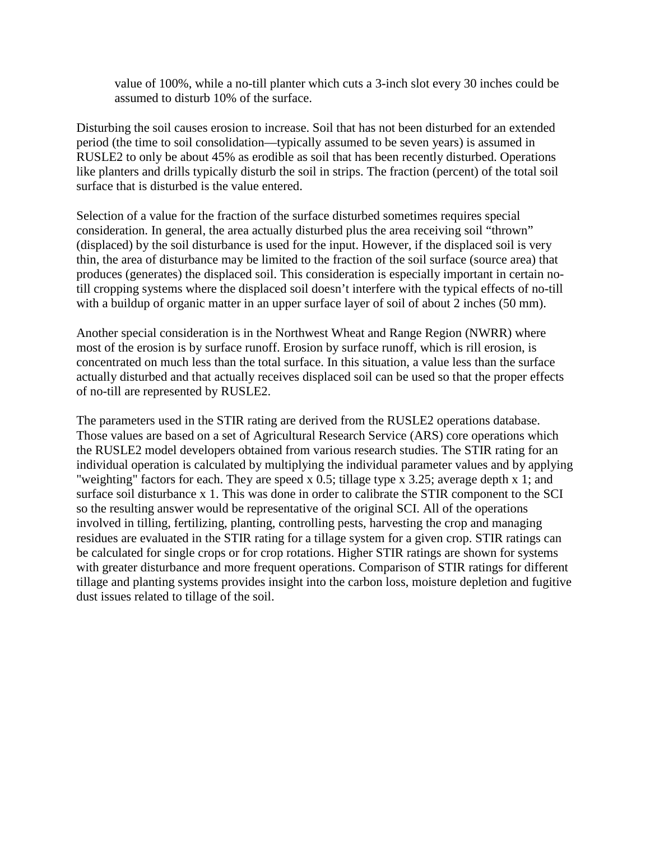value of 100%, while a no-till planter which cuts a 3-inch slot every 30 inches could be assumed to disturb 10% of the surface.

Disturbing the soil causes erosion to increase. Soil that has not been disturbed for an extended period (the time to soil consolidation—typically assumed to be seven years) is assumed in RUSLE2 to only be about 45% as erodible as soil that has been recently disturbed. Operations like planters and drills typically disturb the soil in strips. The fraction (percent) of the total soil surface that is disturbed is the value entered.

Selection of a value for the fraction of the surface disturbed sometimes requires special consideration. In general, the area actually disturbed plus the area receiving soil "thrown" (displaced) by the soil disturbance is used for the input. However, if the displaced soil is very thin, the area of disturbance may be limited to the fraction of the soil surface (source area) that produces (generates) the displaced soil. This consideration is especially important in certain notill cropping systems where the displaced soil doesn't interfere with the typical effects of no-till with a buildup of organic matter in an upper surface layer of soil of about 2 inches (50 mm).

Another special consideration is in the Northwest Wheat and Range Region (NWRR) where most of the erosion is by surface runoff. Erosion by surface runoff, which is rill erosion, is concentrated on much less than the total surface. In this situation, a value less than the surface actually disturbed and that actually receives displaced soil can be used so that the proper effects of no-till are represented by RUSLE2.

The parameters used in the STIR rating are derived from the RUSLE2 operations database. Those values are based on a set of Agricultural Research Service (ARS) core operations which the RUSLE2 model developers obtained from various research studies. The STIR rating for an individual operation is calculated by multiplying the individual parameter values and by applying "weighting" factors for each. They are speed x 0.5; tillage type x 3.25; average depth x 1; and surface soil disturbance x 1. This was done in order to calibrate the STIR component to the SCI so the resulting answer would be representative of the original SCI. All of the operations involved in tilling, fertilizing, planting, controlling pests, harvesting the crop and managing residues are evaluated in the STIR rating for a tillage system for a given crop. STIR ratings can be calculated for single crops or for crop rotations. Higher STIR ratings are shown for systems with greater disturbance and more frequent operations. Comparison of STIR ratings for different tillage and planting systems provides insight into the carbon loss, moisture depletion and fugitive dust issues related to tillage of the soil.